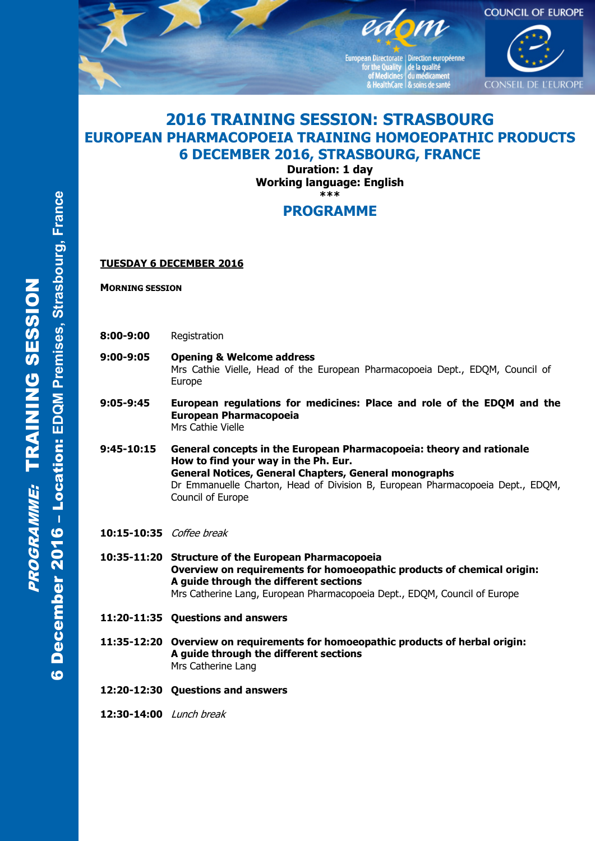

European Directorate | Direction européenne for the Quality<br>of Medicines<br>& HealthCare<br>& soins de santé



# **2016 TRAINING SESSION: STRASBOURG EUROPEAN PHARMACOPOEIA TRAINING HOMOEOPATHIC PRODUCTS 6 DECEMBER 2016, STRASBOURG, FRANCE**

**Duration: 1 day Working language: English \*\*\***

# **PROGRAMME**

### **TUESDAY 6 DECEMBER 2016**

**MORNING SESSION**

- **8:00-9:00** Registration
- **9:00-9:05 Opening & Welcome address** Mrs Cathie Vielle, Head of the European Pharmacopoeia Dept., EDQM, Council of Europe
- **9:05-9:45 European regulations for medicines: Place and role of the EDQM and the European Pharmacopoeia** Mrs Cathie Vielle
- **9:45-10:15 General concepts in the European Pharmacopoeia: theory and rationale How to find your way in the Ph. Eur. General Notices, General Chapters, General monographs** Dr Emmanuelle Charton, Head of Division B, European Pharmacopoeia Dept., EDQM, Council of Europe
- **10:15-10:35** Coffee break
- **10:35-11:20 Structure of the European Pharmacopoeia Overview on requirements for homoeopathic products of chemical origin: A guide through the different sections** Mrs Catherine Lang, European Pharmacopoeia Dept., EDQM, Council of Europe
- **11:20-11:35 Questions and answers**
- **11:35-12:20 Overview on requirements for homoeopathic products of herbal origin: A guide through the different sections** Mrs Catherine Lang
- **12:20-12:30 Questions and answers**

**12:30-14:00** Lunch break

6